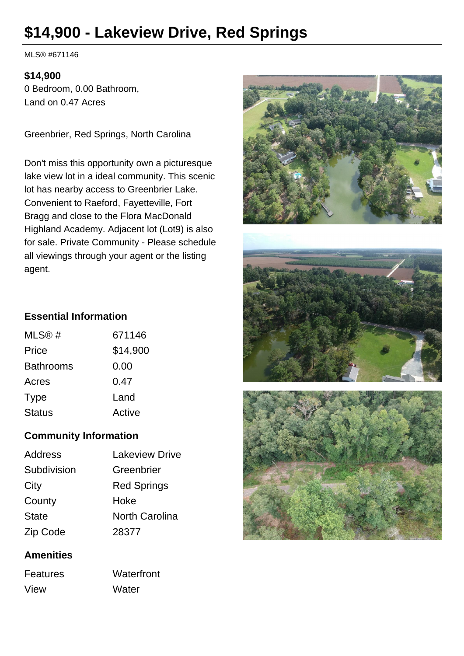# **\$14,900 - Lakeview Drive, Red Springs**

MLS® #671146

#### **\$14,900**

0 Bedroom, 0.00 Bathroom, Land on 0.47 Acres

Greenbrier, Red Springs, North Carolina

Don't miss this opportunity own a picturesque lake view lot in a ideal community. This scenic lot has nearby access to Greenbrier Lake. Convenient to Raeford, Fayetteville, Fort Bragg and close to the Flora MacDonald Highland Academy. Adjacent lot (Lot9) is also for sale. Private Community - Please schedule all viewings through your agent or the listing agent.







## **Essential Information**

| MLS@#            | 671146   |
|------------------|----------|
| Price            | \$14,900 |
| <b>Bathrooms</b> | 0.00     |
| Acres            | 0.47     |
| Type             | Land     |
| <b>Status</b>    | Active   |
|                  |          |

## **Community Information**

| <b>Lakeview Drive</b> |
|-----------------------|
| Greenbrier            |
| <b>Red Springs</b>    |
| Hoke                  |
| <b>North Carolina</b> |
| 28377                 |
|                       |

## **Amenities**

Features Waterfront View Water